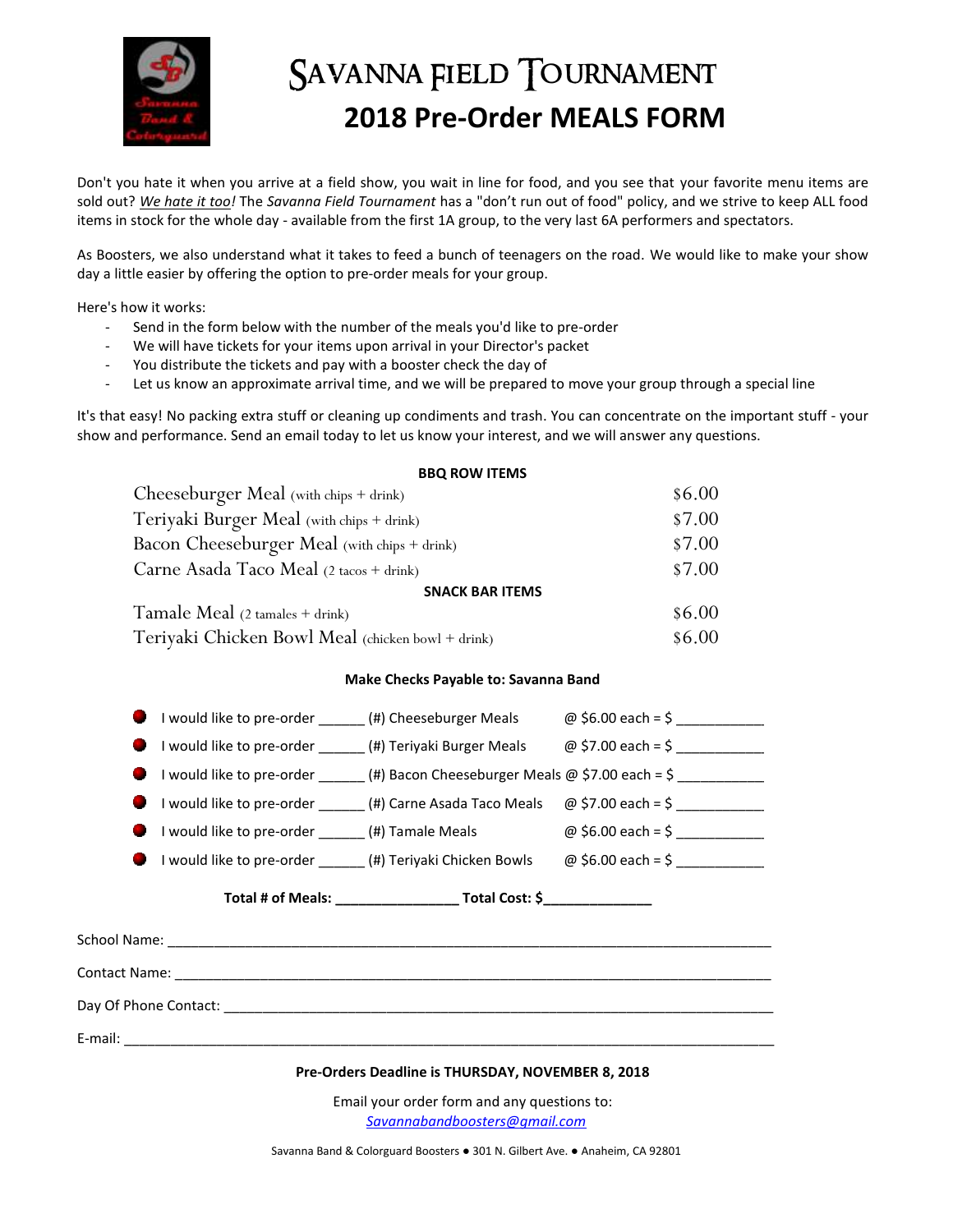

## SAVANNA FIELD TOURNAMENT **2018 Pre-Order MEALS FORM**

Don't you hate it when you arrive at a field show, you wait in line for food, and you see that your favorite menu items are sold out? *We hate it too!* The *Savanna Field Tournament* has a "don't run out of food" policy, and we strive to keep ALL food items in stock for the whole day - available from the first 1A group, to the very last 6A performers and spectators.

As Boosters, we also understand what it takes to feed a bunch of teenagers on the road. We would like to make your show day a little easier by offering the option to pre-order meals for your group.

Here's how it works:

- Send in the form below with the number of the meals you'd like to pre-order
- We will have tickets for your items upon arrival in your Director's packet
- You distribute the tickets and pay with a booster check the day of
- Let us know an approximate arrival time, and we will be prepared to move your group through a special line

It's that easy! No packing extra stuff or cleaning up condiments and trash. You can concentrate on the important stuff - your show and performance. Send an email today to let us know your interest, and we will answer any questions.

| <b>BBQ ROW ITEMS</b>                              |        |
|---------------------------------------------------|--------|
| Cheeseburger Meal (with chips + drink)            | \$6.00 |
| Teriyaki Burger Meal (with chips + drink)         | \$7.00 |
| Bacon Cheeseburger Meal (with chips + drink)      | \$7.00 |
| Carne Asada Taco Meal (2 tacos + drink)           | \$7.00 |
| <b>SNACK BAR ITEMS</b>                            |        |
| Tamale Meal $(2 \tanh s + \text{drink})$          | \$6.00 |
| Teriyaki Chicken Bowl Meal (chicken bowl + drink) | \$6.00 |

## **Make Checks Payable to: Savanna Band**

|                                                   |  |                                  | I would like to pre-order _______(#) Cheeseburger Meals @ \$6.00 each = \$ ___________                                 |
|---------------------------------------------------|--|----------------------------------|------------------------------------------------------------------------------------------------------------------------|
|                                                   |  |                                  |                                                                                                                        |
|                                                   |  |                                  | I would like to pre-order ______(#) Bacon Cheeseburger Meals @ \$7.00 each = \$ ___________                            |
|                                                   |  |                                  | I would like to pre-order $($ #) Carne Asada Taco Meals $\oslash$ \$7.00 each = \$                                     |
|                                                   |  |                                  | I would like to pre-order ________(#) Tamale Meals $\qquad \qquad \textcircled{g}$ \$6.00 each = \$ __________________ |
|                                                   |  |                                  | I would like to pre-order $\qquad$ (#) Teriyaki Chicken Bowls $\qquad \varpi$ \$6.00 each = \$                         |
|                                                   |  | Total # of Meals: Total Cost: \$ |                                                                                                                        |
|                                                   |  |                                  |                                                                                                                        |
|                                                   |  |                                  |                                                                                                                        |
|                                                   |  |                                  |                                                                                                                        |
|                                                   |  |                                  |                                                                                                                        |
| Pre-Orders Deadline is THURSDAY, NOVEMBER 8, 2018 |  |                                  |                                                                                                                        |

Email your order form and any questions to: *[Savannabandboosters@gmail.com](mailto:Savannabandboosters@gmail.com)*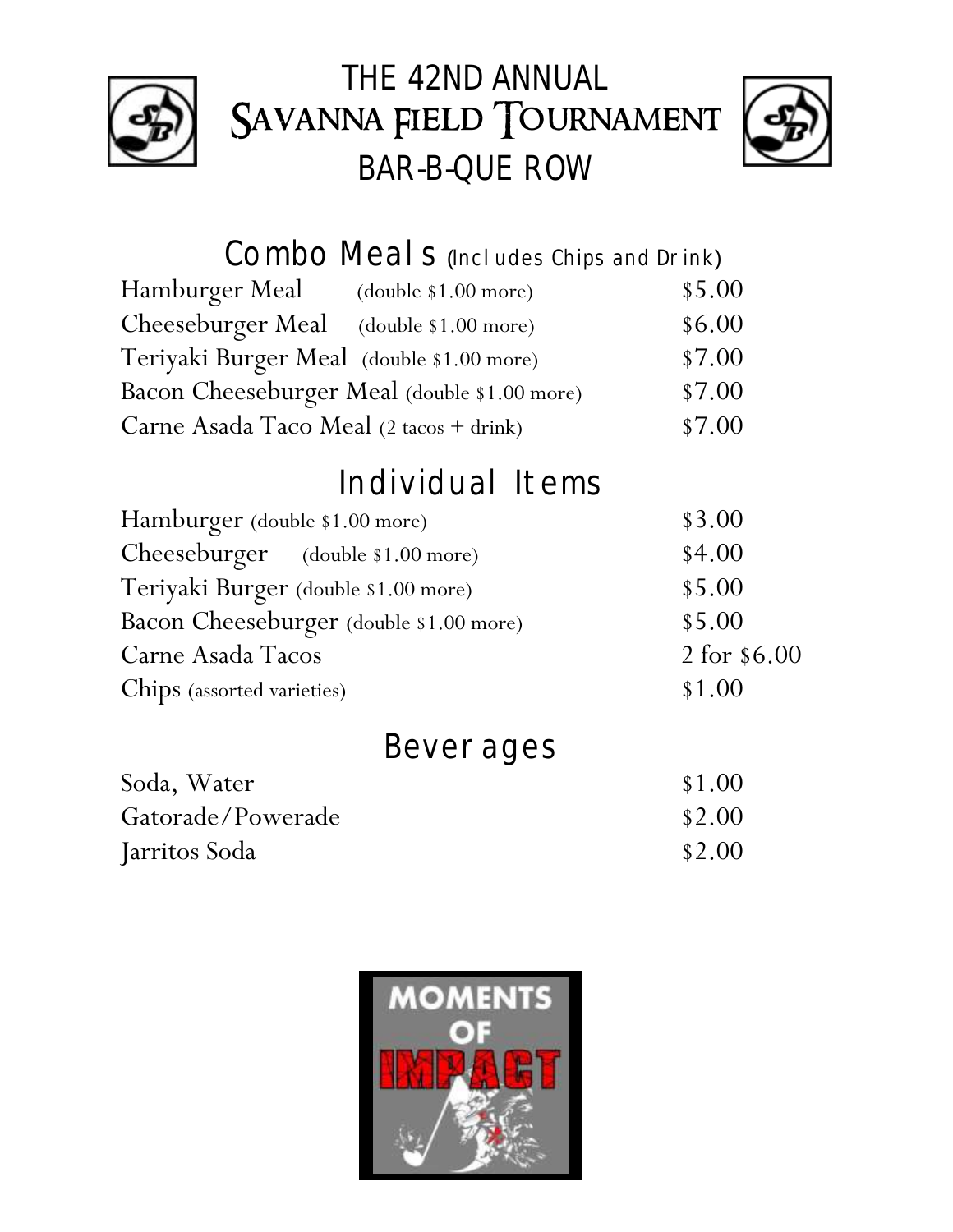

## THE 42ND ANNUAL SAVANNA FIELD TOURNAMENT BAR-B-QUE ROW



Combo Meal S (Includes Chips and Drink)

| Hamburger Meal (double \$1.00 more)       |                                              | \$5.00 |
|-------------------------------------------|----------------------------------------------|--------|
| Cheeseburger Meal (double \$1.00 more)    |                                              | \$6.00 |
| Teriyaki Burger Meal (double \$1.00 more) |                                              | \$7.00 |
|                                           | Bacon Cheeseburger Meal (double \$1.00 more) | \$7.00 |
| Carne Asada Taco Meal (2 tacos + drink)   |                                              | \$7.00 |

## Individual Items

| Hamburger (double \$1.00 more)          | \$3.00       |
|-----------------------------------------|--------------|
| Cheeseburger (double \$1.00 more)       | \$4.00       |
| Teriyaki Burger (double \$1.00 more)    | \$5.00       |
| Bacon Cheeseburger (double \$1.00 more) | \$5.00       |
| Carne Asada Tacos                       | 2 for \$6.00 |
| Chips (assorted varieties)              | \$1.00       |
|                                         |              |

| <b>Beverages</b> |  |
|------------------|--|
|                  |  |

| Soda, Water       | \$1.00 |
|-------------------|--------|
| Gatorade/Powerade | \$2.00 |
| Jarritos Soda     | \$2.00 |